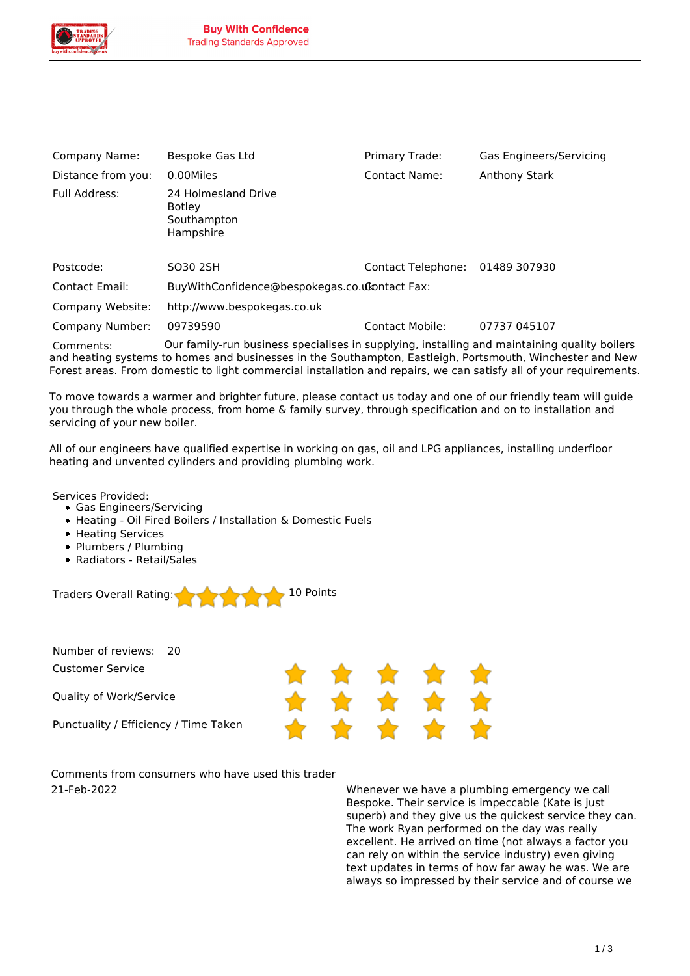

| Company Name:                                                                                                                                                                                                          | Bespoke Gas Ltd                                                  | Primary Trade:       | Gas Engineers/Servicing |
|------------------------------------------------------------------------------------------------------------------------------------------------------------------------------------------------------------------------|------------------------------------------------------------------|----------------------|-------------------------|
| Distance from you:                                                                                                                                                                                                     | 0.00Miles                                                        | <b>Contact Name:</b> | <b>Anthony Stark</b>    |
| Full Address:                                                                                                                                                                                                          | 24 Holmesland Drive<br><b>Botley</b><br>Southampton<br>Hampshire |                      |                         |
| Postcode:                                                                                                                                                                                                              | SO30 2SH                                                         | Contact Telephone:   | 01489 307930            |
| Contact Email:                                                                                                                                                                                                         | BuyWithConfidence@bespokegas.co.utontact Fax:                    |                      |                         |
| Company Website:                                                                                                                                                                                                       | http://www.bespokegas.co.uk                                      |                      |                         |
| Company Number:                                                                                                                                                                                                        | 09739590                                                         | Contact Mobile:      | 07737 045107            |
| Our family-run business specialises in supplying, installing and maintaining quality boilers<br>Comments:<br>and heating systems to homes and businesses in the Southampton, Eastleigh, Portsmouth, Winchester and New |                                                                  |                      |                         |

*Forest areas. From domestic to light commercial installation and repairs, we can satisfy all of your requirements.*

*To move towards a warmer and brighter future, please contact us today and one of our friendly team will guide you through the whole process, from home & family survey, through specification and on to installation and servicing of your new boiler.*

*All of our engineers have qualified expertise in working on gas, oil and LPG appliances, installing underfloor heating and unvented cylinders and providing plumbing work.*

*Services Provided:*

- *Gas Engineers/Servicing*
- *Heating Oil Fired Boilers / Installation & Domestic Fuels*
- *Heating Services*
- *Plumbers / Plumbing*
- *Radiators Retail/Sales*



*Number of reviews: 20 Customer Service*

*Quality of Work/Service*

*Punctuality / Efficiency / Time Taken*

*Comments from consumers who have used this trader 21-Feb-2022 Whenever we have a plumbing emergency we call*

*Bespoke. Their service is impeccable (Kate is just superb) and they give us the quickest service they can. The work Ryan performed on the day was really excellent. He arrived on time (not always a factor you can rely on within the service industry) even giving text updates in terms of how far away he was. We are always so impressed by their service and of course we*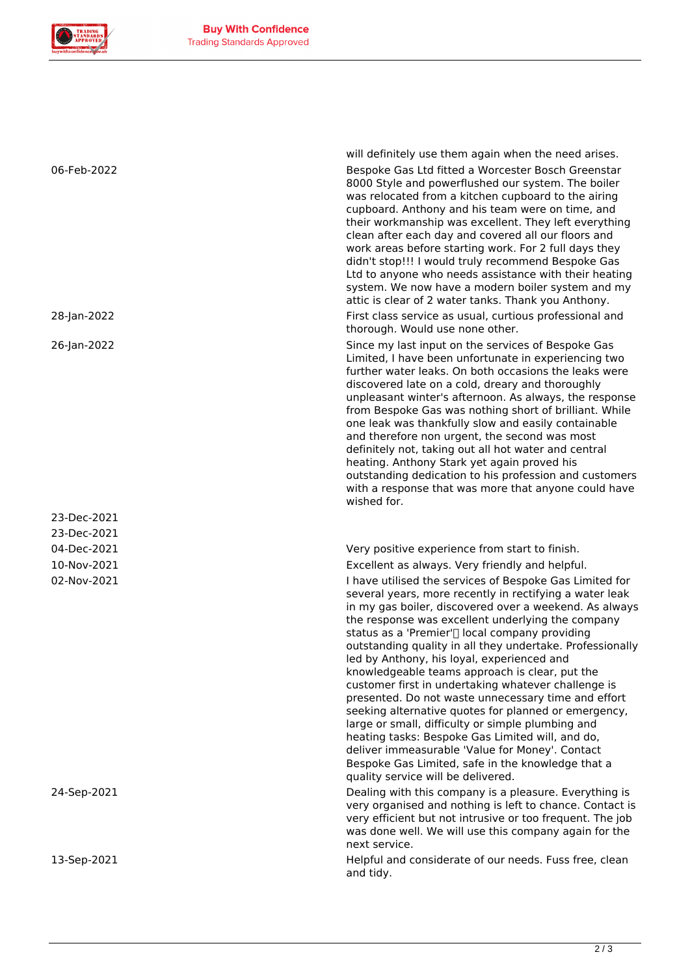

*23-Dec-2021 23-Dec-2021*

*will definitely use them again when the need arises. 06-Feb-2022 Bespoke Gas Ltd fitted a Worcester Bosch Greenstar 8000 Style and powerflushed our system. The boiler was relocated from a kitchen cupboard to the airing cupboard. Anthony and his team were on time, and their workmanship was excellent. They left everything clean after each day and covered all our floors and work areas before starting work. For 2 full days they didn't stop!!! I would truly recommend Bespoke Gas Ltd to anyone who needs assistance with their heating system. We now have a modern boiler system and my attic is clear of 2 water tanks. Thank you Anthony.*

*28-Jan-2022 First class service as usual, curtious professional and thorough. Would use none other.*

*26-Jan-2022 Since my last input on the services of Bespoke Gas Limited, I have been unfortunate in experiencing two further water leaks. On both occasions the leaks were discovered late on a cold, dreary and thoroughly unpleasant winter's afternoon. As always, the response from Bespoke Gas was nothing short of brilliant. While one leak was thankfully slow and easily containable and therefore non urgent, the second was most definitely not, taking out all hot water and central heating. Anthony Stark yet again proved his outstanding dedication to his profession and customers with a response that was more that anyone could have wished for.*

*04-Dec-2021 Very positive experience from start to finish. 10-Nov-2021 Excellent as always. Very friendly and helpful.*

*02-Nov-2021 I have utilised the services of Bespoke Gas Limited for several years, more recently in rectifying a water leak in my gas boiler, discovered over a weekend. As always the response was excellent underlying the company* status as a 'Premier'<sup>[]</sup> local company providing *outstanding quality in all they undertake. Professionally led by Anthony, his loyal, experienced and knowledgeable teams approach is clear, put the customer first in undertaking whatever challenge is presented. Do not waste unnecessary time and effort seeking alternative quotes for planned or emergency, large or small, difficulty or simple plumbing and heating tasks: Bespoke Gas Limited will, and do, deliver immeasurable 'Value for Money'. Contact Bespoke Gas Limited, safe in the knowledge that a quality service will be delivered.*

*24-Sep-2021 Dealing with this company is a pleasure. Everything is very organised and nothing is left to chance. Contact is very efficient but not intrusive or too frequent. The job was done well. We will use this company again for the next service.*

*13-Sep-2021 Helpful and considerate of our needs. Fuss free, clean and tidy.*